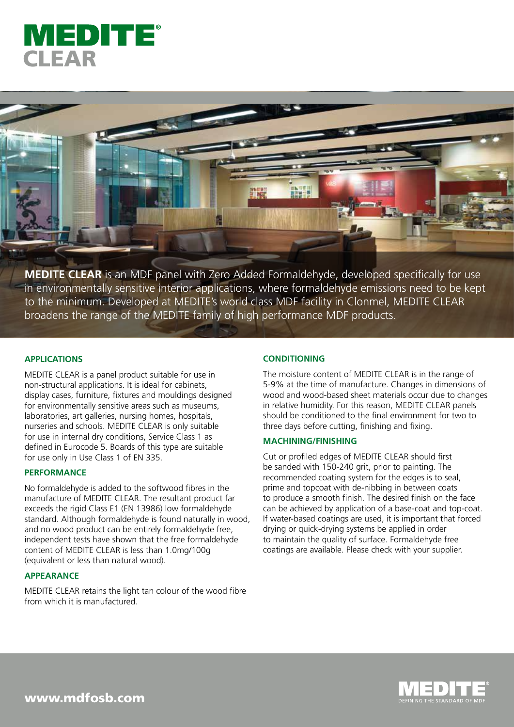



**MEDITE CLEAR** is an MDF panel with Zero Added Formaldehyde, developed specifically for use in environmentally sensitive interior applications, where formaldehyde emissions need to be kept to the minimum. Developed at MEDITE's world class MDF facility in Clonmel, MEDITE CLEAR broadens the range of the MEDITE family of high performance MDF products.

# **APPLICATIONS**

MEDITE CLEAR is a panel product suitable for use in non-structural applications. It is ideal for cabinets, display cases, furniture, fixtures and mouldings designed for environmentally sensitive areas such as museums, laboratories, art galleries, nursing homes, hospitals, nurseries and schools. MEDITE CLEAR is only suitable for use in internal dry conditions, Service Class 1 as defined in Eurocode 5. Boards of this type are suitable for use only in Use Class 1 of EN 335.

## **PERFORMANCE**

No formaldehyde is added to the softwood fibres in the manufacture of MEDITE CLEAR. The resultant product far exceeds the rigid Class E1 (EN 13986) low formaldehyde standard. Although formaldehyde is found naturally in wood, and no wood product can be entirely formaldehyde free, independent tests have shown that the free formaldehyde content of MEDITE CLEAR is less than 1.0mg/100g (equivalent or less than natural wood).

# **APPEARANCE**

MEDITE CLEAR retains the light tan colour of the wood fibre from which it is manufactured.

### **CONDITIONING**

The moisture content of MEDITE CLEAR is in the range of 5-9% at the time of manufacture. Changes in dimensions of wood and wood-based sheet materials occur due to changes in relative humidity. For this reason, MEDITE CLEAR panels should be conditioned to the final environment for two to three days before cutting, finishing and fixing.

# **MACHINING/FINISHING**

Cut or profiled edges of MEDITE CLEAR should first be sanded with 150-240 grit, prior to painting. The recommended coating system for the edges is to seal, prime and topcoat with de-nibbing in between coats to produce a smooth finish. The desired finish on the face can be achieved by application of a base-coat and top-coat. If water-based coatings are used, it is important that forced drying or quick-drying systems be applied in order to maintain the quality of surface. Formaldehyde free coatings are available. Please check with your supplier.



www.mdfosb.com